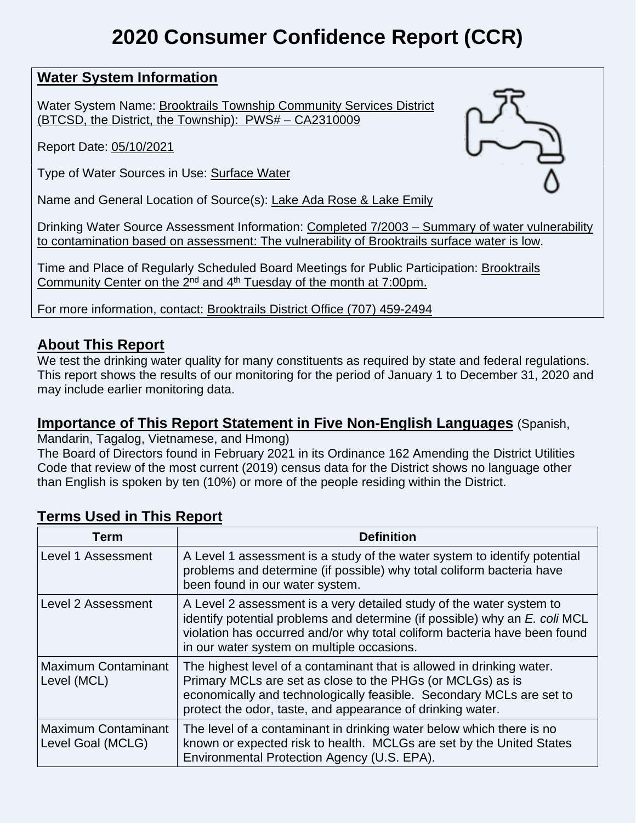# **2020 Consumer Confidence Report (CCR)**

# **Water System Information**

Water System Name: Brooktrails Township Community Services District (BTCSD, the District, the Township): PWS# – CA2310009

Report Date: 05/10/2021

Type of Water Sources in Use: Surface Water

Name and General Location of Source(s): Lake Ada Rose & Lake Emily

Drinking Water Source Assessment Information: Completed 7/2003 – Summary of water vulnerability to contamination based on assessment: The vulnerability of Brooktrails surface water is low.

Time and Place of Regularly Scheduled Board Meetings for Public Participation: Brooktrails Community Center on the  $2^{nd}$  and  $4^{th}$  Tuesday of the month at 7:00pm.

For more information, contact: Brooktrails District Office (707) 459-2494

# **About This Report**

We test the drinking water quality for many constituents as required by state and federal regulations. This report shows the results of our monitoring for the period of January 1 to December 31, 2020 and may include earlier monitoring data.

# **Importance of This Report Statement in Five Non-English Languages** (Spanish,

Mandarin, Tagalog, Vietnamese, and Hmong)

The Board of Directors found in February 2021 in its Ordinance 162 Amending the District Utilities Code that review of the most current (2019) census data for the District shows no language other than English is spoken by ten (10%) or more of the people residing within the District.

#### **Term Definition** Level 1 Assessment  $\vert A \vert$  Level 1 assessment is a study of the water system to identify potential problems and determine (if possible) why total coliform bacteria have been found in our water system. Level 2 Assessment  $\Box$  A Level 2 assessment is a very detailed study of the water system to identify potential problems and determine (if possible) why an *E. coli* MCL violation has occurred and/or why total coliform bacteria have been found in our water system on multiple occasions. Maximum Contaminant Level (MCL) The highest level of a contaminant that is allowed in drinking water. Primary MCLs are set as close to the PHGs (or MCLGs) as is economically and technologically feasible. Secondary MCLs are set to protect the odor, taste, and appearance of drinking water. Maximum Contaminant Level Goal (MCLG) The level of a contaminant in drinking water below which there is no known or expected risk to health. MCLGs are set by the United States Environmental Protection Agency (U.S. EPA).

# **Terms Used in This Report**

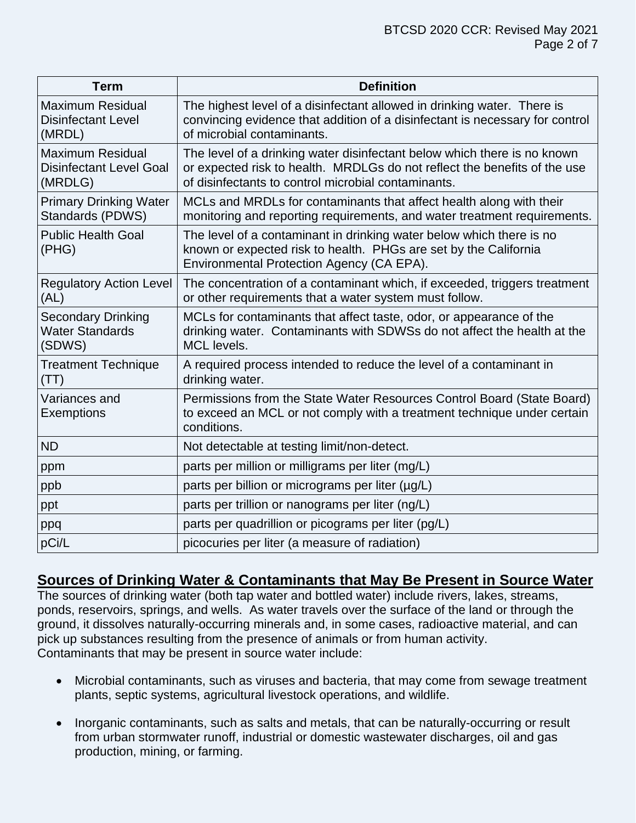| <b>Term</b>                                                          | <b>Definition</b>                                                                                                                                                                                            |
|----------------------------------------------------------------------|--------------------------------------------------------------------------------------------------------------------------------------------------------------------------------------------------------------|
| <b>Maximum Residual</b><br><b>Disinfectant Level</b><br>(MRDL)       | The highest level of a disinfectant allowed in drinking water. There is<br>convincing evidence that addition of a disinfectant is necessary for control<br>of microbial contaminants.                        |
| <b>Maximum Residual</b><br><b>Disinfectant Level Goal</b><br>(MRDLG) | The level of a drinking water disinfectant below which there is no known<br>or expected risk to health. MRDLGs do not reflect the benefits of the use<br>of disinfectants to control microbial contaminants. |
| <b>Primary Drinking Water</b><br>Standards (PDWS)                    | MCLs and MRDLs for contaminants that affect health along with their<br>monitoring and reporting requirements, and water treatment requirements.                                                              |
| <b>Public Health Goal</b><br>(PHG)                                   | The level of a contaminant in drinking water below which there is no<br>known or expected risk to health. PHGs are set by the California<br>Environmental Protection Agency (CA EPA).                        |
| <b>Regulatory Action Level</b><br>(AL)                               | The concentration of a contaminant which, if exceeded, triggers treatment<br>or other requirements that a water system must follow.                                                                          |
| <b>Secondary Drinking</b><br><b>Water Standards</b><br>(SDWS)        | MCLs for contaminants that affect taste, odor, or appearance of the<br>drinking water. Contaminants with SDWSs do not affect the health at the<br><b>MCL</b> levels.                                         |
| <b>Treatment Technique</b><br>(TT)                                   | A required process intended to reduce the level of a contaminant in<br>drinking water.                                                                                                                       |
| Variances and<br><b>Exemptions</b>                                   | Permissions from the State Water Resources Control Board (State Board)<br>to exceed an MCL or not comply with a treatment technique under certain<br>conditions.                                             |
| <b>ND</b>                                                            | Not detectable at testing limit/non-detect.                                                                                                                                                                  |
| ppm                                                                  | parts per million or milligrams per liter (mg/L)                                                                                                                                                             |
| ppb                                                                  | parts per billion or micrograms per liter (µg/L)                                                                                                                                                             |
| ppt                                                                  | parts per trillion or nanograms per liter (ng/L)                                                                                                                                                             |
| ppq                                                                  | parts per quadrillion or picograms per liter (pg/L)                                                                                                                                                          |
| pCi/L                                                                | picocuries per liter (a measure of radiation)                                                                                                                                                                |

## **Sources of Drinking Water & Contaminants that May Be Present in Source Water**

The sources of drinking water (both tap water and bottled water) include rivers, lakes, streams, ponds, reservoirs, springs, and wells. As water travels over the surface of the land or through the ground, it dissolves naturally-occurring minerals and, in some cases, radioactive material, and can pick up substances resulting from the presence of animals or from human activity. Contaminants that may be present in source water include:

- Microbial contaminants, such as viruses and bacteria, that may come from sewage treatment plants, septic systems, agricultural livestock operations, and wildlife.
- Inorganic contaminants, such as salts and metals, that can be naturally-occurring or result from urban stormwater runoff, industrial or domestic wastewater discharges, oil and gas production, mining, or farming.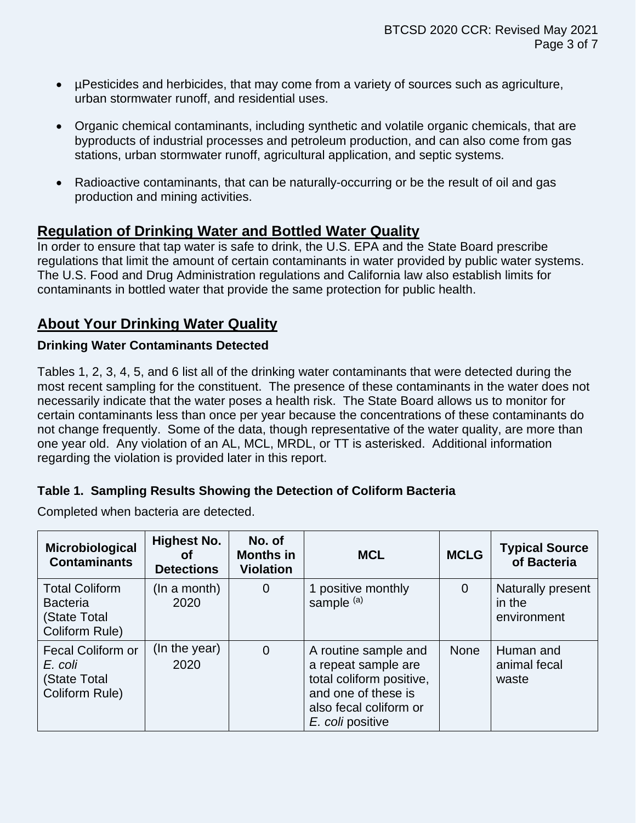- µPesticides and herbicides, that may come from a variety of sources such as agriculture, urban stormwater runoff, and residential uses.
- Organic chemical contaminants, including synthetic and volatile organic chemicals, that are byproducts of industrial processes and petroleum production, and can also come from gas stations, urban stormwater runoff, agricultural application, and septic systems.
- Radioactive contaminants, that can be naturally-occurring or be the result of oil and gas production and mining activities.

## **Regulation of Drinking Water and Bottled Water Quality**

In order to ensure that tap water is safe to drink, the U.S. EPA and the State Board prescribe regulations that limit the amount of certain contaminants in water provided by public water systems. The U.S. Food and Drug Administration regulations and California law also establish limits for contaminants in bottled water that provide the same protection for public health.

# **About Your Drinking Water Quality**

#### **Drinking Water Contaminants Detected**

Tables 1, 2, 3, 4, 5, and 6 list all of the drinking water contaminants that were detected during the most recent sampling for the constituent. The presence of these contaminants in the water does not necessarily indicate that the water poses a health risk. The State Board allows us to monitor for certain contaminants less than once per year because the concentrations of these contaminants do not change frequently. Some of the data, though representative of the water quality, are more than one year old. Any violation of an AL, MCL, MRDL, or TT is asterisked. Additional information regarding the violation is provided later in this report.

#### **Table 1. Sampling Results Showing the Detection of Coliform Bacteria**

| Completed when bacteria are detected. |  |  |  |
|---------------------------------------|--|--|--|
|---------------------------------------|--|--|--|

| Microbiological<br><b>Contaminants</b>                                     | <b>Highest No.</b><br>Οf<br><b>Detections</b> | No. of<br><b>Months in</b><br><b>Violation</b> | <b>MCL</b>                                                                                                                                   | <b>MCLG</b>    | <b>Typical Source</b><br>of Bacteria       |
|----------------------------------------------------------------------------|-----------------------------------------------|------------------------------------------------|----------------------------------------------------------------------------------------------------------------------------------------------|----------------|--------------------------------------------|
| <b>Total Coliform</b><br><b>Bacteria</b><br>(State Total<br>Coliform Rule) | (In a month)<br>2020                          | $\overline{0}$                                 | 1 positive monthly<br>sample (a)                                                                                                             | $\overline{0}$ | Naturally present<br>in the<br>environment |
| <b>Fecal Coliform or</b><br>E. coli<br>(State Total<br>Coliform Rule)      | (In the year)<br>2020                         | $\overline{0}$                                 | A routine sample and<br>a repeat sample are<br>total coliform positive,<br>and one of these is<br>also fecal coliform or<br>E. coli positive | <b>None</b>    | Human and<br>animal fecal<br>waste         |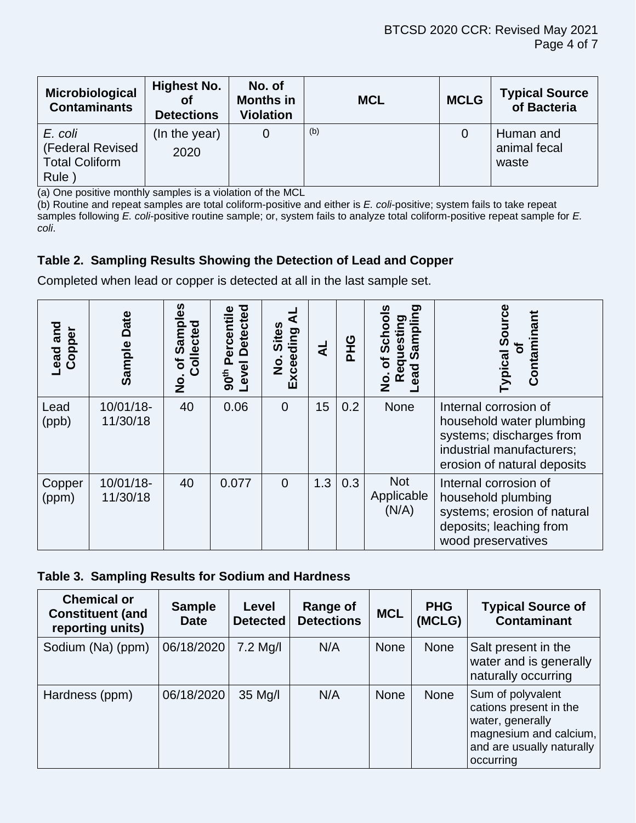| Microbiological<br><b>Contaminants</b>                       | <b>Highest No.</b><br>οf<br><b>Detections</b> | No. of<br><b>Months in</b><br><b>Violation</b> | <b>MCL</b> | <b>MCLG</b> | <b>Typical Source</b><br>of Bacteria |
|--------------------------------------------------------------|-----------------------------------------------|------------------------------------------------|------------|-------------|--------------------------------------|
| E. coli<br>(Federal Revised<br><b>Total Coliform</b><br>Rule | (In the year)<br>2020                         | 0                                              | (b)        |             | Human and<br>animal fecal<br>waste   |

(a) One positive monthly samples is a violation of the MCL

(b) Routine and repeat samples are total coliform-positive and either is *E. coli*-positive; system fails to take repeat samples following *E. coli*-positive routine sample; or, system fails to analyze total coliform-positive repeat sample for *E. coli*.

## **Table 2. Sampling Results Showing the Detection of Lead and Copper**

Completed when lead or copper is detected at all in the last sample set.

| and<br>Copper<br>Lead | Date<br>Sample        | <u>ვ</u><br>Ω<br>Collected<br><u>ន</u><br>៑<br>$\frac{1}{2}$ | <b>Detected</b><br>ercentile<br>മ<br>Level<br>90 <sup>th</sup> | <b>Sites</b><br>Exceeding<br>$\dot{\mathbf{z}}$ | ₹   | <b>UHC</b> | <u>ත</u><br>ටා<br><b>Sampl</b><br>uestil<br><u>ರ</u><br>σ<br><b>bead</b><br>Œ<br>0<br>Z | ω<br>nant<br><u>g</u><br>Contami<br>Typical                                                                                               |
|-----------------------|-----------------------|--------------------------------------------------------------|----------------------------------------------------------------|-------------------------------------------------|-----|------------|-----------------------------------------------------------------------------------------|-------------------------------------------------------------------------------------------------------------------------------------------|
| Lead<br>(ppb)         | 10/01/18-<br>11/30/18 | 40                                                           | 0.06                                                           | $\Omega$                                        | 15  | 0.2        | None                                                                                    | Internal corrosion of<br>household water plumbing<br>systems; discharges from<br>industrial manufacturers;<br>erosion of natural deposits |
| Copper<br>(ppm)       | 10/01/18-<br>11/30/18 | 40                                                           | 0.077                                                          | $\Omega$                                        | 1.3 | 0.3        | <b>Not</b><br>Applicable<br>(N/A)                                                       | Internal corrosion of<br>household plumbing<br>systems; erosion of natural<br>deposits; leaching from<br>wood preservatives               |

#### **Table 3. Sampling Results for Sodium and Hardness**

| <b>Chemical or</b><br><b>Constituent (and</b><br>reporting units) | <b>Sample</b><br>Date | Level<br><b>Detected</b> | <b>Range of</b><br><b>Detections</b> | <b>MCL</b>  | <b>PHG</b><br>(MCLG) | <b>Typical Source of</b><br><b>Contaminant</b>                                                                                      |
|-------------------------------------------------------------------|-----------------------|--------------------------|--------------------------------------|-------------|----------------------|-------------------------------------------------------------------------------------------------------------------------------------|
| Sodium (Na) (ppm)                                                 | 06/18/2020            | $7.2$ Mg/I               | N/A                                  | <b>None</b> | None                 | Salt present in the<br>water and is generally<br>naturally occurring                                                                |
| Hardness (ppm)                                                    | 06/18/2020            | $35$ Mg/I                | N/A                                  | <b>None</b> | <b>None</b>          | Sum of polyvalent<br>cations present in the<br>water, generally<br>magnesium and calcium,<br>and are usually naturally<br>occurring |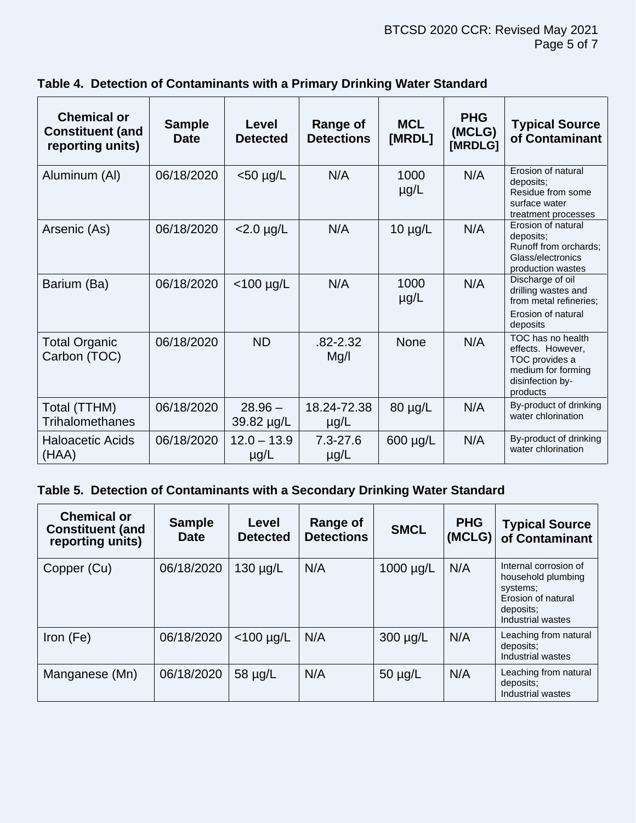| <b>Chemical or</b><br><b>Constituent (and</b><br>reporting units) | <b>Sample</b><br><b>Date</b> | Level<br><b>Detected</b>   | <b>Range of</b><br><b>Detections</b> | <b>MCL</b><br>[MRDL] | <b>PHG</b><br>(MCLG)<br>[MRDLG] | <b>Typical Source</b><br>of Contaminant                                                                        |
|-------------------------------------------------------------------|------------------------------|----------------------------|--------------------------------------|----------------------|---------------------------------|----------------------------------------------------------------------------------------------------------------|
| Aluminum (AI)                                                     | 06/18/2020                   | $<$ 50 µg/L                | N/A                                  | 1000<br>$\mu$ g/L    | N/A                             | Erosion of natural<br>deposits:<br>Residue from some<br>surface water<br>treatment processes                   |
| Arsenic (As)                                                      | 06/18/2020                   | $<$ 2.0 $\mu$ g/L          | N/A                                  | $10 \mu g/L$         | N/A                             | Erosion of natural<br>deposits:<br>Runoff from orchards;<br>Glass/electronics<br>production wastes             |
| Barium (Ba)                                                       | 06/18/2020                   | $<$ 100 µg/L               | N/A                                  | 1000<br>$\mu$ g/L    | N/A                             | Discharge of oil<br>drilling wastes and<br>from metal refineries;<br>Erosion of natural<br>deposits            |
| <b>Total Organic</b><br>Carbon (TOC)                              | 06/18/2020                   | <b>ND</b>                  | .82-2.32<br>Mg/l                     | <b>None</b>          | N/A                             | TOC has no health<br>effects. However,<br>TOC provides a<br>medium for forming<br>disinfection by-<br>products |
| Total (TTHM)<br><b>Trihalomethanes</b>                            | 06/18/2020                   | $28.96 -$<br>39.82 µg/L    | 18.24-72.38<br>$\mu$ g/L             | 80 µg/L              | N/A                             | By-product of drinking<br>water chlorination                                                                   |
| <b>Haloacetic Acids</b><br>(HAA)                                  | 06/18/2020                   | $12.0 - 13.9$<br>$\mu$ g/L | $7.3 - 27.6$<br>$\mu$ g/L            | 600 µg/L             | N/A                             | By-product of drinking<br>water chlorination                                                                   |

### **Table 4. Detection of Contaminants with a Primary Drinking Water Standard**

## **Table 5. Detection of Contaminants with a Secondary Drinking Water Standard**

| <b>Chemical or</b><br><b>Constituent (and</b><br>reporting units) | <b>Sample</b><br><b>Date</b> | Level<br><b>Detected</b> | <b>Range of</b><br><b>Detections</b> | <b>SMCL</b> | <b>PHG</b><br>(MCLG) | <b>Typical Source</b><br>of Contaminant                                                                         |
|-------------------------------------------------------------------|------------------------------|--------------------------|--------------------------------------|-------------|----------------------|-----------------------------------------------------------------------------------------------------------------|
| Copper (Cu)                                                       | 06/18/2020                   | $130 \mu g/L$            | N/A                                  | 1000 µg/L   | N/A                  | Internal corrosion of<br>household plumbing<br>systems;<br>Erosion of natural<br>deposits:<br>Industrial wastes |
| Iron $(Fe)$                                                       | 06/18/2020                   | $<$ 100 µg/L             | N/A                                  | 300 µg/L    | N/A                  | Leaching from natural<br>deposits:<br>Industrial wastes                                                         |
| Manganese (Mn)                                                    | 06/18/2020                   | 58 µg/L                  | N/A                                  | 50 µg/L     | N/A                  | Leaching from natural<br>deposits:<br>Industrial wastes                                                         |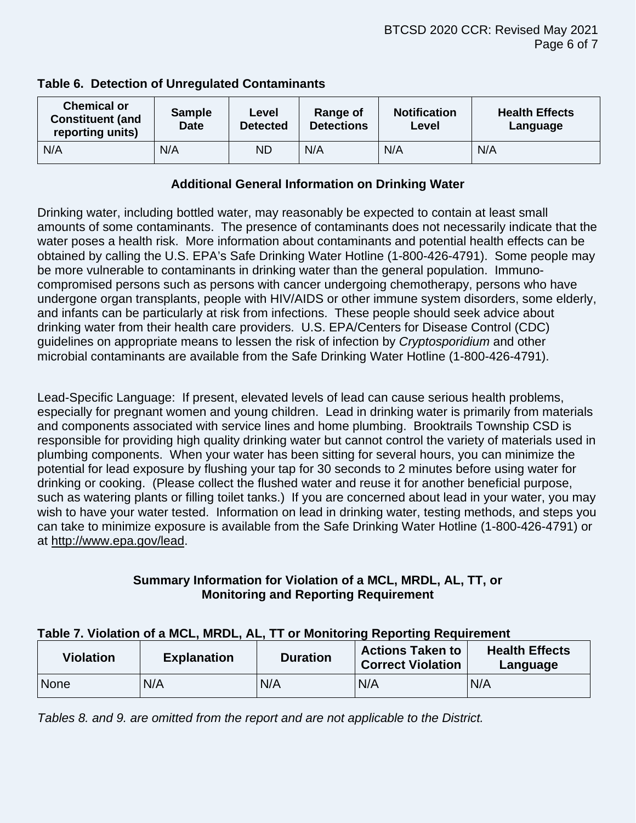| <b>Chemical or</b><br><b>Constituent (and</b><br>reporting units) | <b>Sample</b><br><b>Date</b> | Level<br><b>Detected</b> | Range of<br><b>Detections</b> | <b>Notification</b><br>Level | <b>Health Effects</b><br>Language |
|-------------------------------------------------------------------|------------------------------|--------------------------|-------------------------------|------------------------------|-----------------------------------|
| N/A                                                               | N/A                          | ND                       | N/A                           | N/A                          | N/A                               |

#### **Table 6. Detection of Unregulated Contaminants**

#### **Additional General Information on Drinking Water**

Drinking water, including bottled water, may reasonably be expected to contain at least small amounts of some contaminants. The presence of contaminants does not necessarily indicate that the water poses a health risk. More information about contaminants and potential health effects can be obtained by calling the U.S. EPA's Safe Drinking Water Hotline (1-800-426-4791). Some people may be more vulnerable to contaminants in drinking water than the general population. Immunocompromised persons such as persons with cancer undergoing chemotherapy, persons who have undergone organ transplants, people with HIV/AIDS or other immune system disorders, some elderly, and infants can be particularly at risk from infections. These people should seek advice about drinking water from their health care providers. U.S. EPA/Centers for Disease Control (CDC) guidelines on appropriate means to lessen the risk of infection by *Cryptosporidium* and other microbial contaminants are available from the Safe Drinking Water Hotline (1-800-426-4791).

Lead-Specific Language: If present, elevated levels of lead can cause serious health problems, especially for pregnant women and young children. Lead in drinking water is primarily from materials and components associated with service lines and home plumbing. Brooktrails Township CSD is responsible for providing high quality drinking water but cannot control the variety of materials used in plumbing components. When your water has been sitting for several hours, you can minimize the potential for lead exposure by flushing your tap for 30 seconds to 2 minutes before using water for drinking or cooking. (Please collect the flushed water and reuse it for another beneficial purpose, such as watering plants or filling toilet tanks.) If you are concerned about lead in your water, you may wish to have your water tested. Information on lead in drinking water, testing methods, and steps you can take to minimize exposure is available from the Safe Drinking Water Hotline (1-800-426-4791) or at [http://www.epa.gov/lead.](http://www.epa.gov/lead)

#### **Summary Information for Violation of a MCL, MRDL, AL, TT, or Monitoring and Reporting Requirement**

#### **Table 7. Violation of a MCL, MRDL, AL, TT or Monitoring Reporting Requirement**

| <b>Violation</b> | <b>Explanation</b> | <b>Duration</b> | <b>Actions Taken to</b><br><b>Correct Violation</b> | <b>Health Effects</b><br>Language |
|------------------|--------------------|-----------------|-----------------------------------------------------|-----------------------------------|
| <b>None</b>      | N/A                | N/A             | N/A                                                 | N/A                               |

*Tables 8. and 9. are omitted from the report and are not applicable to the District.*